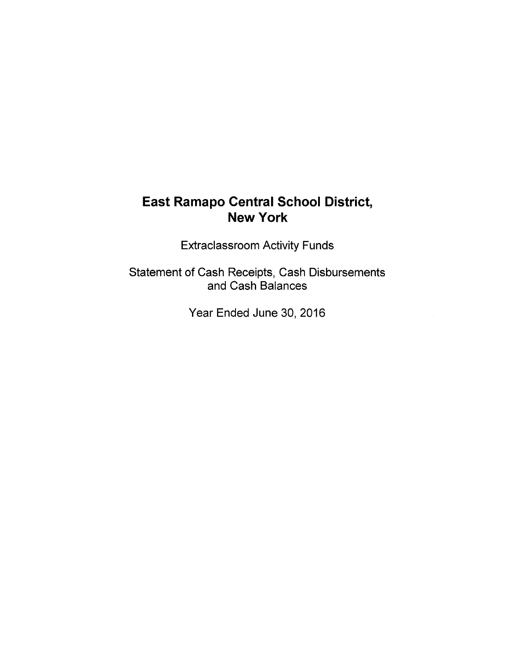Extraclassroom Activity Funds

Statement of Cash Receipts, Cash Disbursements and Cash Balances

Year Ended June 30, 2016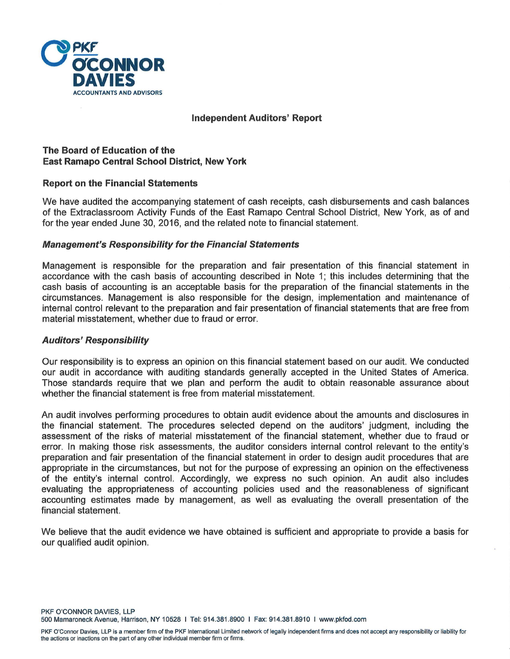

## **Independent Auditors' Report**

## **The Board of Education of the East Ramapo Central School District, New York**

## **Report on the Financial Statements**

We have audited the accompanying statement of cash receipts, cash disbursements and cash balances of the Extraclassroom Activity Funds of the East Ramapo Central School District, New York, as of and for the year ended June 30, 2016, and the related note to financial statement.

#### **Management's Responsibility for the Financial Statements**

Management is responsible for the preparation and fair presentation of this financial statement in accordance with the cash basis of accounting described in Note 1; this includes determining that the cash basis of accounting is an acceptable basis for the preparation of the financial statements in the circumstances. Management is also responsible for the design, implementation and maintenance of internal control relevant to the preparation and fair presentation of financial statements that are free from material misstatement, whether due to fraud or error.

#### **Auditors' Responsibility**

Our responsibility is to express an opinion on this financial statement based on our audit. We conducted our audit in accordance with auditing standards generally accepted in the United States of America. Those standards require that we plan and perform the audit to obtain reasonable assurance about whether the financial statement is free from material misstatement.

An audit involves performing procedures to obtain audit evidence about the amounts and disclosures in the financial statement. The procedures selected depend on the auditors' judgment, including the assessment of the risks of material misstatement of the financial statement, whether due to fraud or error. In making those risk assessments, the auditor considers internal control relevant to the entity's preparation and fair presentation of the financial statement in order to design audit procedures that are appropriate in the circumstances, but not for the purpose of expressing an opinion on the effectiveness of the entity's internal control. Accordingly, we express no such opinion. An audit also includes evaluating the appropriateness of accounting policies used and the reasonableness of significant accounting estimates made by management, as well as evaluating the overall presentation of the financial statement.

We believe that the audit evidence we have obtained is sufficient and appropriate to provide a basis for our qualified audit opinion.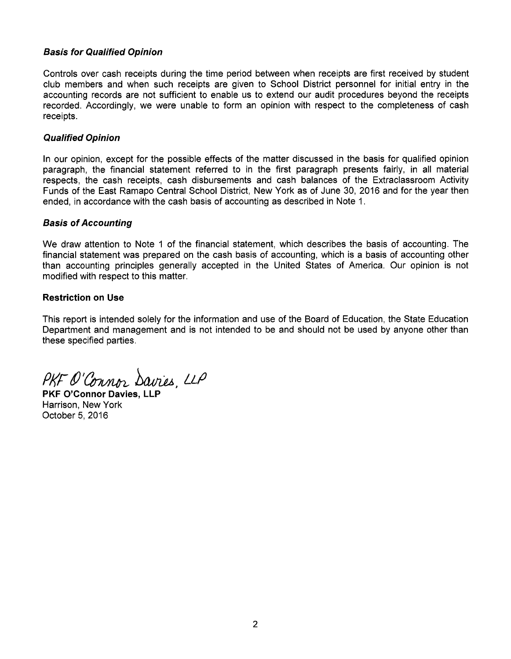## **Basis for Qualified Opinion**

Controls over cash receipts during the time period between when receipts are first received by student club members and when such receipts are given to School District personnel for initial entry in the accounting records are not sufficient to enable us to extend our audit procedures beyond the receipts recorded. Accordingly, we were unable to form an opinion with respect to the completeness of cash receipts.

## **Qualified Opinion**

In our opinion, except for the possible effects of the matter discussed in the basis for qualified opinion paragraph, the financial statement referred to in the first paragraph presents fairly, in all material respects, the cash receipts, cash disbursements and cash balances of the Extraclassroom Activity Funds of the East Ramapo Central School District, New York as of June 30, 2016 and for the year then ended, in accordance with the cash basis of accounting as described in Note 1.

## **Basis of Accounting**

We draw attention to Note 1 of the financial statement, which describes the basis of accounting. The financial statement was prepared on the cash basis of accounting, which is a basis of accounting other than accounting principles generally accepted in the United States of America. Our opinion is not modified with respect to this matter.

## **Restriction on Use**

This report is intended solely for the information and use of the Board of Education, the State Education Department and management and is not intended to be and should not be used by anyone other than these specified parties.

PKF O'Connor Davies, LLP

**PKF O'Connor Davies. LL** Harrison, New York October 5, 2016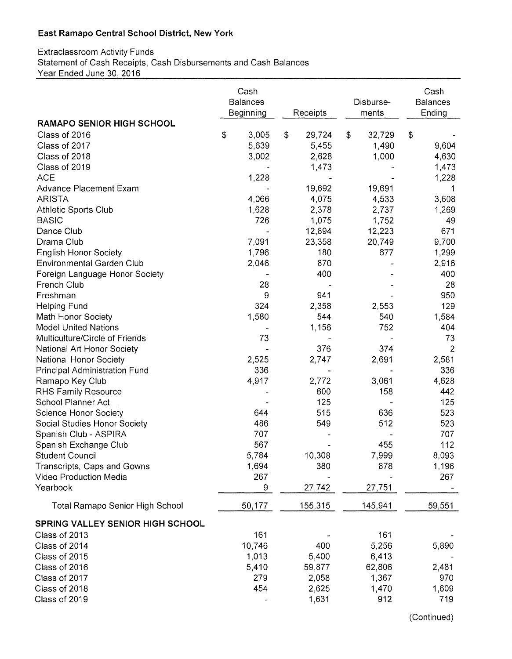## Extraclassroom Activity Funds Statement of Cash Receipts, Cash Disbursements and Cash Balances Year Ended June 30, 2016

|                                         | Cash<br><b>Balances</b><br>Beginning<br>Receipts |                          | Disburse-<br>ments | Cash<br><b>Balances</b><br>Ending |  |
|-----------------------------------------|--------------------------------------------------|--------------------------|--------------------|-----------------------------------|--|
| <b>RAMAPO SENIOR HIGH SCHOOL</b>        |                                                  |                          |                    |                                   |  |
| Class of 2016                           | \$<br>3,005                                      | $\mathfrak{S}$<br>29,724 | \$<br>32,729       | \$                                |  |
| Class of 2017                           | 5,639                                            | 5,455                    | 1,490              | 9,604                             |  |
| Class of 2018                           | 3,002                                            | 2,628                    | 1,000              | 4,630                             |  |
| Class of 2019                           |                                                  | 1,473                    |                    | 1,473                             |  |
| <b>ACE</b>                              | 1,228                                            |                          |                    | 1,228                             |  |
| Advance Placement Exam                  |                                                  | 19,692                   | 19,691             | 1                                 |  |
| <b>ARISTA</b>                           | 4,066                                            | 4,075                    | 4,533              | 3,608                             |  |
| <b>Athletic Sports Club</b>             | 1,628                                            | 2,378                    | 2,737              | 1,269                             |  |
| <b>BASIC</b>                            | 726                                              | 1,075                    | 1,752              | 49                                |  |
| Dance Club                              |                                                  | 12,894                   | 12,223             | 671                               |  |
| Drama Club                              | 7,091                                            | 23,358                   | 20,749             | 9,700                             |  |
| <b>English Honor Society</b>            | 1,796                                            | 180                      | 677                | 1,299                             |  |
| <b>Environmental Garden Club</b>        | 2,046                                            | 870                      |                    | 2,916                             |  |
| Foreign Language Honor Society          |                                                  | 400                      |                    | 400                               |  |
| <b>French Club</b>                      | 28                                               |                          |                    | 28                                |  |
| Freshman                                | 9                                                | 941                      |                    | 950                               |  |
| <b>Helping Fund</b>                     | 324                                              | 2,358                    | 2,553              | 129                               |  |
| Math Honor Society                      | 1,580                                            | 544                      | 540                | 1,584                             |  |
| <b>Model United Nations</b>             |                                                  | 1,156                    | 752                | 404                               |  |
| Multiculture/Circle of Friends          | 73                                               |                          |                    | 73                                |  |
| National Art Honor Society              |                                                  | 376                      | 374                | $\overline{2}$                    |  |
| National Honor Society                  | 2,525                                            | 2,747                    | 2,691              | 2,581                             |  |
| Principal Administration Fund           | 336                                              |                          |                    | 336                               |  |
| Ramapo Key Club                         | 4,917                                            | 2,772                    | 3,061              | 4,628                             |  |
| <b>RHS Family Resource</b>              |                                                  | 600                      | 158                | 442                               |  |
| School Planner Act                      |                                                  | 125                      |                    | 125                               |  |
| Science Honor Society                   | 644                                              | 515                      | 636                | 523                               |  |
| Social Studies Honor Society            | 486                                              | 549                      | 512                | 523                               |  |
| Spanish Club - ASPIRA                   | 707                                              |                          |                    | 707                               |  |
| Spanish Exchange Club                   | 567                                              |                          | 455                | 112                               |  |
| <b>Student Council</b>                  | 5,784                                            | 10,308                   | 7,999              | 8,093                             |  |
| Transcripts, Caps and Gowns             | 1,694                                            | 380                      | 878                | 1,196                             |  |
| Video Production Media                  | 267                                              |                          |                    | 267                               |  |
| Yearbook                                | 9                                                | 27,742                   | 27,751             |                                   |  |
| <b>Total Ramapo Senior High School</b>  | 50,177                                           | 155,315                  | 145,941            | 59,551                            |  |
| <b>SPRING VALLEY SENIOR HIGH SCHOOL</b> |                                                  |                          |                    |                                   |  |
| Class of 2013                           | 161                                              |                          | 161                |                                   |  |
| Class of 2014                           | 10,746                                           | 400                      | 5,256              | 5,890                             |  |
| Class of 2015                           | 1,013                                            | 5,400                    | 6,413              |                                   |  |
| Class of 2016                           | 5,410                                            | 59,877                   | 62,806             | 2,481                             |  |
| Class of 2017                           | 279                                              | 2,058                    | 1,367              | 970                               |  |
| Class of 2018                           | 454                                              | 2,625                    | 1,470              | 1,609                             |  |
| Class of 2019                           |                                                  | 1,631                    | 912                | 719                               |  |

(Continued)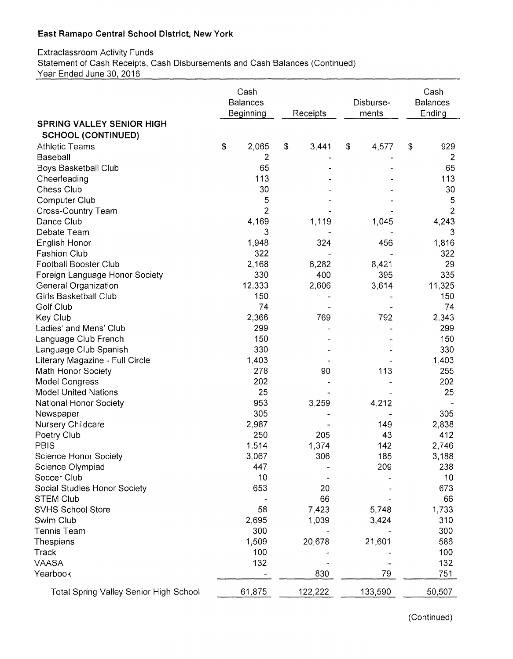## Extraclassroom Activity Funds Statement of Cash Receipts, Cash Disbursements and Cash Balances (Continued) Year Ended June 30, 2016

|                                               |    | Cash<br><b>Balances</b><br>Beginning |    | Receipts |    | Disburse-<br>ments |    | Cash<br><b>Balances</b><br>Ending |  |
|-----------------------------------------------|----|--------------------------------------|----|----------|----|--------------------|----|-----------------------------------|--|
| <b>SPRING VALLEY SENIOR HIGH</b>              |    |                                      |    |          |    |                    |    |                                   |  |
| <b>SCHOOL (CONTINUED)</b>                     |    |                                      |    |          |    |                    |    |                                   |  |
| <b>Athletic Teams</b>                         | \$ | 2,065                                | \$ | 3,441    | \$ | 4,577              | \$ | 929                               |  |
| Baseball                                      |    | 2                                    |    |          |    |                    |    | $\overline{c}$                    |  |
| <b>Boys Basketball Club</b>                   |    | 65                                   |    |          |    |                    |    | 65                                |  |
| Cheerleading                                  |    | 113                                  |    |          |    |                    |    | 113                               |  |
| <b>Chess Club</b>                             |    | 30                                   |    |          |    |                    |    | 30                                |  |
| Computer Club                                 |    | 5                                    |    |          |    |                    |    | 5                                 |  |
| <b>Cross-Country Team</b>                     |    | $\overline{2}$                       |    |          |    |                    |    | 2                                 |  |
| Dance Club                                    |    | 4,169                                |    | 1,119    |    | 1,045              |    | 4,243                             |  |
| Debate Team                                   |    | 3                                    |    |          |    |                    |    | 3                                 |  |
| English Honor                                 |    | 1,948                                |    | 324      |    | 456                |    | 1,816                             |  |
| <b>Fashion Club</b>                           |    | 322                                  |    |          |    |                    |    | 322                               |  |
| <b>Football Booster Club</b>                  |    | 2,168                                |    | 6,282    |    | 8,421              |    | 29                                |  |
| Foreign Language Honor Society                |    | 330                                  |    | 400      |    | 395                |    | 335                               |  |
| General Organization                          |    | 12,333                               |    | 2,606    |    | 3,614              |    | 11,325                            |  |
| Girls Basketball Club                         |    | 150                                  |    |          |    |                    |    | 150                               |  |
| Golf Club                                     |    | 74                                   |    |          |    |                    |    | 74                                |  |
| Key Club                                      |    | 2,366                                |    | 769      |    | 792                |    | 2,343                             |  |
| Ladies' and Mens' Club                        |    | 299                                  |    |          |    |                    |    | 299                               |  |
| Language Club French                          |    | 150                                  |    |          |    |                    |    | 150                               |  |
| Language Club Spanish                         |    | 330                                  |    |          |    |                    |    | 330                               |  |
| Literary Magazine - Full Circle               |    | 1,403                                |    |          |    |                    |    | 1,403                             |  |
| Math Honor Society                            |    | 278                                  |    | 90       |    | 113                |    | 255                               |  |
| Model Congress                                |    | 202                                  |    |          |    |                    |    | 202                               |  |
| <b>Model United Nations</b>                   |    | 25                                   |    |          |    |                    |    | 25                                |  |
| National Honor Society                        |    | 953                                  |    | 3,259    |    | 4,212              |    |                                   |  |
| Newspaper                                     |    | 305                                  |    |          |    |                    |    | 305                               |  |
| Nursery Childcare                             |    | 2,987                                |    |          |    | 149                |    | 2,838                             |  |
| Poetry Club                                   |    | 250                                  |    | 205      |    | 43                 |    | 412                               |  |
| PBIS                                          |    | 1,514                                |    | 1,374    |    | 142                |    | 2,746                             |  |
| <b>Science Honor Society</b>                  |    | 3,067                                |    | 306      |    | 185                |    | 3,188                             |  |
| Science Olympiad                              |    | 447                                  |    |          |    | 209                |    | 238                               |  |
| Soccer Club                                   |    | 10                                   |    |          |    |                    |    | 10                                |  |
| Social Studies Honor Society                  |    | 653                                  |    | 20       |    |                    |    | 673                               |  |
| <b>STEM Club</b>                              |    |                                      |    | 66       |    |                    |    | 66                                |  |
| SVHS School Store                             |    | 58                                   |    | 7,423    |    | 5,748              |    | 1,733                             |  |
| Swim Club                                     |    | 2,695                                |    | 1,039    |    | 3,424              |    | 310                               |  |
| <b>Tennis Team</b>                            |    | 300                                  |    |          |    |                    |    | 300                               |  |
| Thespians                                     |    | 1,509                                |    | 20,678   |    | 21,601             |    | 586                               |  |
| Track                                         |    | 100                                  |    |          |    |                    |    | 100                               |  |
| <b>VAASA</b>                                  |    | 132                                  |    |          |    |                    |    | 132                               |  |
| Yearbook                                      |    |                                      |    | 830      |    | 79                 |    | 751                               |  |
| <b>Total Spring Valley Senior High School</b> |    | 61,875                               |    | 122,222  |    | 133,590            |    | 50,507                            |  |

(Continued)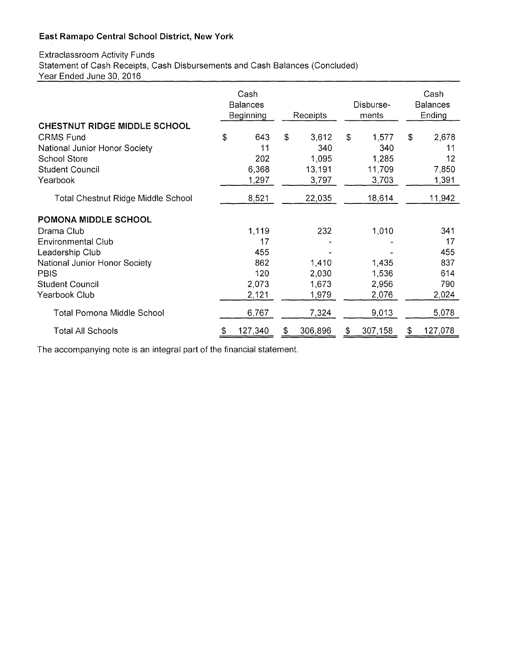## Extraclassroom Activity Funds Statement of Cash Receipts, Cash Disbursements and Cash Balances (Concluded) Year Ended June 30, 2016

|                                           | Cash<br><b>Balances</b><br>Beginning |         |    | Receipts |                | Disburse-<br>ments |    | Cash<br><b>Balances</b><br>Ending |  |
|-------------------------------------------|--------------------------------------|---------|----|----------|----------------|--------------------|----|-----------------------------------|--|
| <b>CHESTNUT RIDGE MIDDLE SCHOOL</b>       |                                      |         |    |          |                |                    |    |                                   |  |
| <b>CRMS Fund</b>                          | \$                                   | 643     | \$ | 3,612    | $\mathfrak{L}$ | 1,577              | \$ | 2,678                             |  |
| National Junior Honor Society             |                                      | 11      |    | 340      |                | 340                |    | 11                                |  |
| <b>School Store</b>                       |                                      | 202     |    | 1,095    |                | 1,285              |    | 12                                |  |
| <b>Student Council</b>                    |                                      | 6,368   |    | 13,191   |                | 11,709             |    | 7,850                             |  |
| Yearbook                                  |                                      | 1,297   |    | 3,797    |                | 3,703              |    | 1,391                             |  |
| <b>Total Chestnut Ridge Middle School</b> |                                      | 8,521   |    | 22,035   |                | 18,614             |    | 11,942                            |  |
| POMONA MIDDLE SCHOOL                      |                                      |         |    |          |                |                    |    |                                   |  |
| Drama Club                                |                                      | 1,119   |    | 232      |                | 1,010              |    | 341                               |  |
| <b>Environmental Club</b>                 |                                      | 17      |    |          |                |                    |    | 17                                |  |
| Leadership Club                           |                                      | 455     |    |          |                |                    |    | 455                               |  |
| National Junior Honor Society             |                                      | 862     |    | 1,410    |                | 1,435              |    | 837                               |  |
| <b>PBIS</b>                               |                                      | 120     |    | 2,030    |                | 1,536              |    | 614                               |  |
| <b>Student Council</b>                    |                                      | 2,073   |    | 1,673    |                | 2,956              |    | 790                               |  |
| Yearbook Club                             |                                      | 2,121   |    | 1,979    |                | 2,076              |    | 2,024                             |  |
| Total Pomona Middle School                |                                      | 6,767   |    | 7,324    |                | 9,013              |    | 5,078                             |  |
| Total All Schools                         | S                                    | 127,340 | S  | 306,896  | \$             | 307,158            | \$ | 127,078                           |  |

The accompanying note is an integral part of the financial statement.